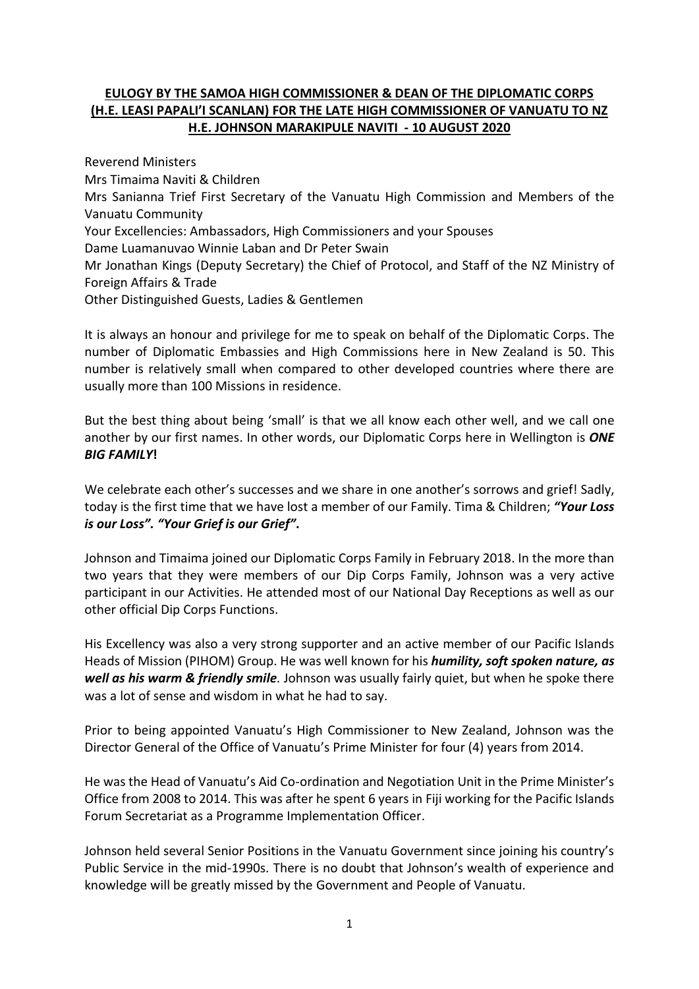## **EULOGY BY THE SAMOA HIGH COMMISSIONER & DEAN OF THE DIPLOMATIC CORPS (H.E. LEASI PAPALI'I SCANLAN) FOR THE LATE HIGH COMMISSIONER OF VANUATU TO NZ H.E. JOHNSON MARAKIPULE NAVITI - 10 AUGUST 2020**

Reverend Ministers Mrs Timaima Naviti & Children Mrs Sanianna Trief First Secretary of the Vanuatu High Commission and Members of the Vanuatu Community Your Excellencies: Ambassadors, High Commissioners and your Spouses Dame Luamanuvao Winnie Laban and Dr Peter Swain Mr Jonathan Kings (Deputy Secretary) the Chief of Protocol, and Staff of the NZ Ministry of Foreign Affairs & Trade Other Distinguished Guests, Ladies & Gentlemen

It is always an honour and privilege for me to speak on behalf of the Diplomatic Corps. The number of Diplomatic Embassies and High Commissions here in New Zealand is 50. This number is relatively small when compared to other developed countries where there are usually more than 100 Missions in residence.

But the best thing about being 'small' is that we all know each other well, and we call one another by our first names. In other words, our Diplomatic Corps here in Wellington is *ONE BIG FAMILY***!**

We celebrate each other's successes and we share in one another's sorrows and grief! Sadly, today is the first time that we have lost a member of our Family. Tima & Children; *"Your Loss is our Loss". "Your Grief is our Grief"***.**

Johnson and Timaima joined our Diplomatic Corps Family in February 2018. In the more than two years that they were members of our Dip Corps Family, Johnson was a very active participant in our Activities. He attended most of our National Day Receptions as well as our other official Dip Corps Functions.

His Excellency was also a very strong supporter and an active member of our Pacific Islands Heads of Mission (PIHOM) Group. He was well known for his *humility, soft spoken nature, as well as his warm & friendly smile.* Johnson was usually fairly quiet, but when he spoke there was a lot of sense and wisdom in what he had to say.

Prior to being appointed Vanuatu's High Commissioner to New Zealand, Johnson was the Director General of the Office of Vanuatu's Prime Minister for four (4) years from 2014.

He was the Head of Vanuatu's Aid Co-ordination and Negotiation Unit in the Prime Minister's Office from 2008 to 2014. This was after he spent 6 years in Fiji working for the Pacific Islands Forum Secretariat as a Programme Implementation Officer.

Johnson held several Senior Positions in the Vanuatu Government since joining his country's Public Service in the mid-1990s. There is no doubt that Johnson's wealth of experience and knowledge will be greatly missed by the Government and People of Vanuatu.